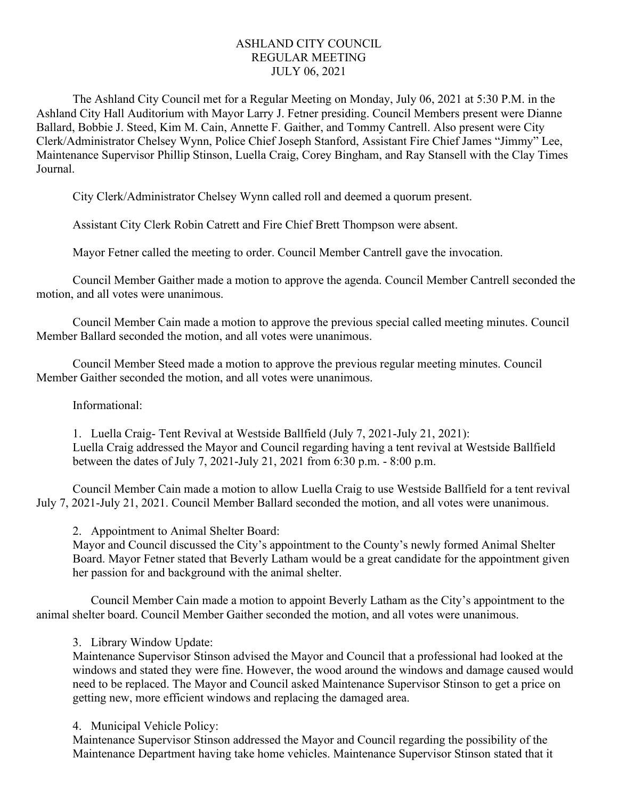## ASHLAND CITY COUNCIL REGULAR MEETING JULY 06, 2021

The Ashland City Council met for a Regular Meeting on Monday, July 06, 2021 at 5:30 P.M. in the Ashland City Hall Auditorium with Mayor Larry J. Fetner presiding. Council Members present were Dianne Ballard, Bobbie J. Steed, Kim M. Cain, Annette F. Gaither, and Tommy Cantrell. Also present were City Clerk/Administrator Chelsey Wynn, Police Chief Joseph Stanford, Assistant Fire Chief James "Jimmy" Lee, Maintenance Supervisor Phillip Stinson, Luella Craig, Corey Bingham, and Ray Stansell with the Clay Times Journal.

City Clerk/Administrator Chelsey Wynn called roll and deemed a quorum present.

Assistant City Clerk Robin Catrett and Fire Chief Brett Thompson were absent.

Mayor Fetner called the meeting to order. Council Member Cantrell gave the invocation.

Council Member Gaither made a motion to approve the agenda. Council Member Cantrell seconded the motion, and all votes were unanimous.

Council Member Cain made a motion to approve the previous special called meeting minutes. Council Member Ballard seconded the motion, and all votes were unanimous.

Council Member Steed made a motion to approve the previous regular meeting minutes. Council Member Gaither seconded the motion, and all votes were unanimous.

Informational:

1. Luella Craig- Tent Revival at Westside Ballfield (July 7, 2021-July 21, 2021): Luella Craig addressed the Mayor and Council regarding having a tent revival at Westside Ballfield between the dates of July 7, 2021-July 21, 2021 from 6:30 p.m. - 8:00 p.m.

Council Member Cain made a motion to allow Luella Craig to use Westside Ballfield for a tent revival July 7, 2021-July 21, 2021. Council Member Ballard seconded the motion, and all votes were unanimous.

2. Appointment to Animal Shelter Board:

Mayor and Council discussed the City's appointment to the County's newly formed Animal Shelter Board. Mayor Fetner stated that Beverly Latham would be a great candidate for the appointment given her passion for and background with the animal shelter.

Council Member Cain made a motion to appoint Beverly Latham as the City's appointment to the animal shelter board. Council Member Gaither seconded the motion, and all votes were unanimous.

3. Library Window Update:

Maintenance Supervisor Stinson advised the Mayor and Council that a professional had looked at the windows and stated they were fine. However, the wood around the windows and damage caused would need to be replaced. The Mayor and Council asked Maintenance Supervisor Stinson to get a price on getting new, more efficient windows and replacing the damaged area.

4. Municipal Vehicle Policy:

Maintenance Supervisor Stinson addressed the Mayor and Council regarding the possibility of the Maintenance Department having take home vehicles. Maintenance Supervisor Stinson stated that it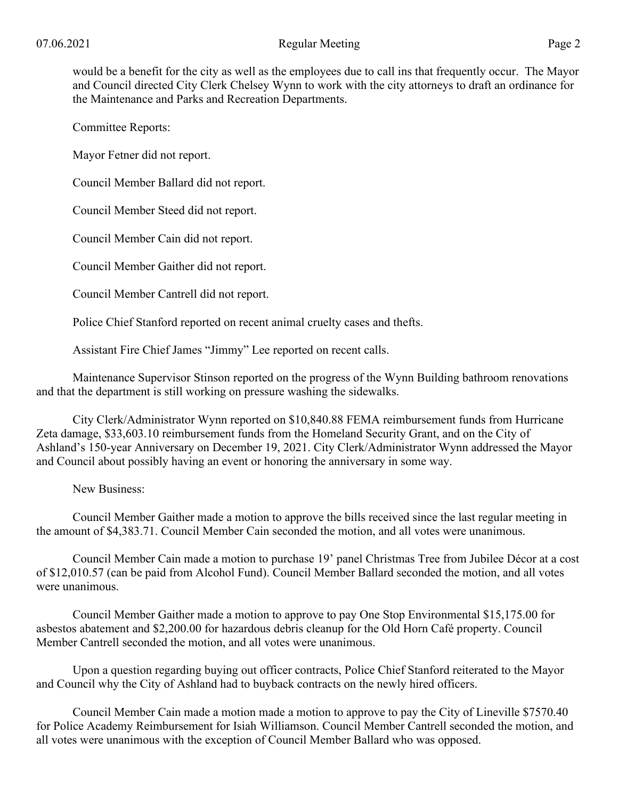would be a benefit for the city as well as the employees due to call ins that frequently occur. The Mayor and Council directed City Clerk Chelsey Wynn to work with the city attorneys to draft an ordinance for the Maintenance and Parks and Recreation Departments.

Committee Reports:

Mayor Fetner did not report.

Council Member Ballard did not report.

Council Member Steed did not report.

Council Member Cain did not report.

Council Member Gaither did not report.

Council Member Cantrell did not report.

Police Chief Stanford reported on recent animal cruelty cases and thefts.

Assistant Fire Chief James "Jimmy" Lee reported on recent calls.

Maintenance Supervisor Stinson reported on the progress of the Wynn Building bathroom renovations and that the department is still working on pressure washing the sidewalks.

City Clerk/Administrator Wynn reported on \$10,840.88 FEMA reimbursement funds from Hurricane Zeta damage, \$33,603.10 reimbursement funds from the Homeland Security Grant, and on the City of Ashland's 150-year Anniversary on December 19, 2021. City Clerk/Administrator Wynn addressed the Mayor and Council about possibly having an event or honoring the anniversary in some way.

New Business:

Council Member Gaither made a motion to approve the bills received since the last regular meeting in the amount of \$4,383.71. Council Member Cain seconded the motion, and all votes were unanimous.

Council Member Cain made a motion to purchase 19' panel Christmas Tree from Jubilee Décor at a cost of \$12,010.57 (can be paid from Alcohol Fund). Council Member Ballard seconded the motion, and all votes were unanimous.

Council Member Gaither made a motion to approve to pay One Stop Environmental \$15,175.00 for asbestos abatement and \$2,200.00 for hazardous debris cleanup for the Old Horn Café property. Council Member Cantrell seconded the motion, and all votes were unanimous.

Upon a question regarding buying out officer contracts, Police Chief Stanford reiterated to the Mayor and Council why the City of Ashland had to buyback contracts on the newly hired officers.

Council Member Cain made a motion made a motion to approve to pay the City of Lineville \$7570.40 for Police Academy Reimbursement for Isiah Williamson. Council Member Cantrell seconded the motion, and all votes were unanimous with the exception of Council Member Ballard who was opposed.